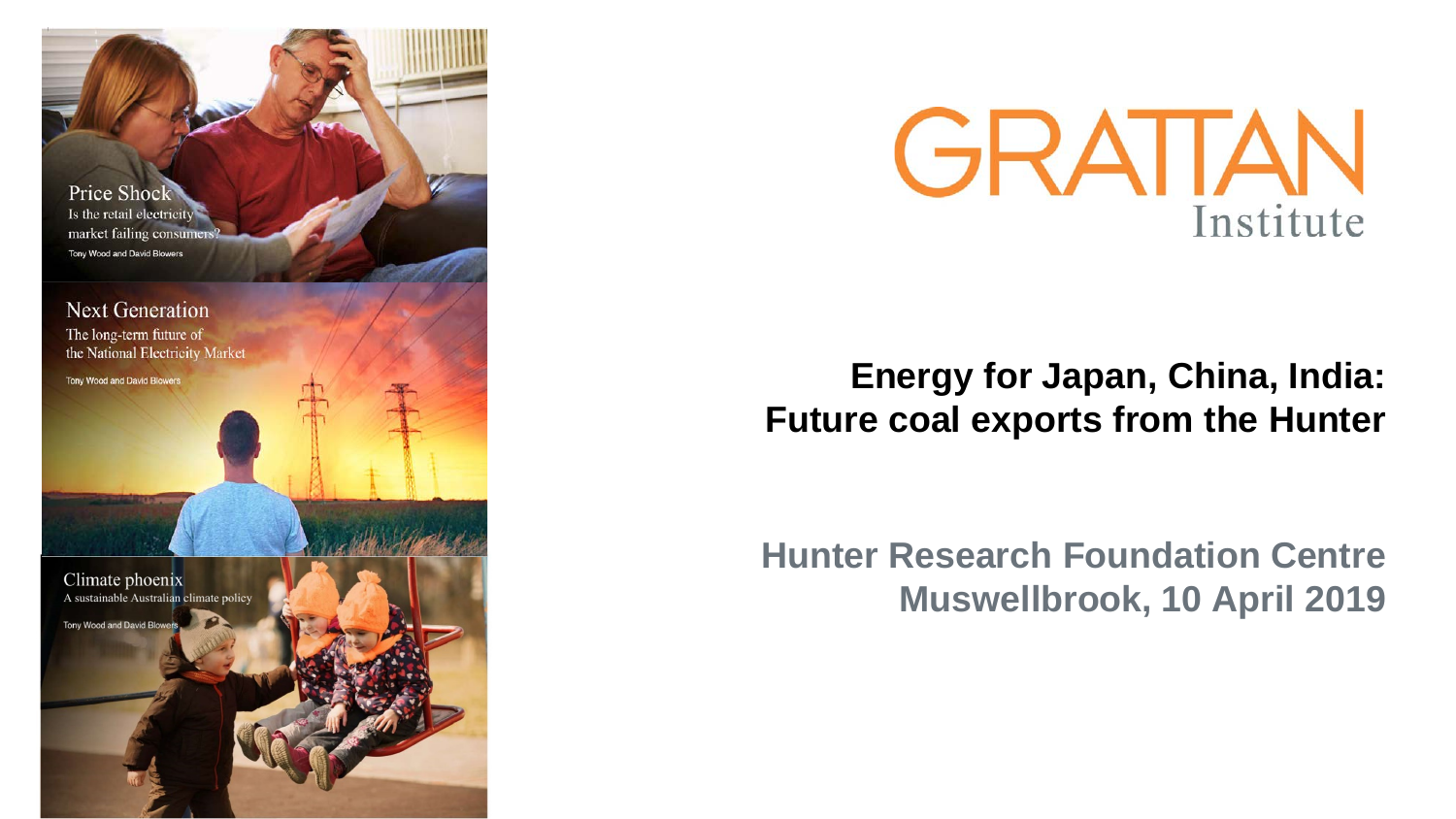



## **Energy for Japan, China, India: Future coal exports from the Hunter**

**Hunter Research Foundation Centre Muswellbrook, 10 April 2019**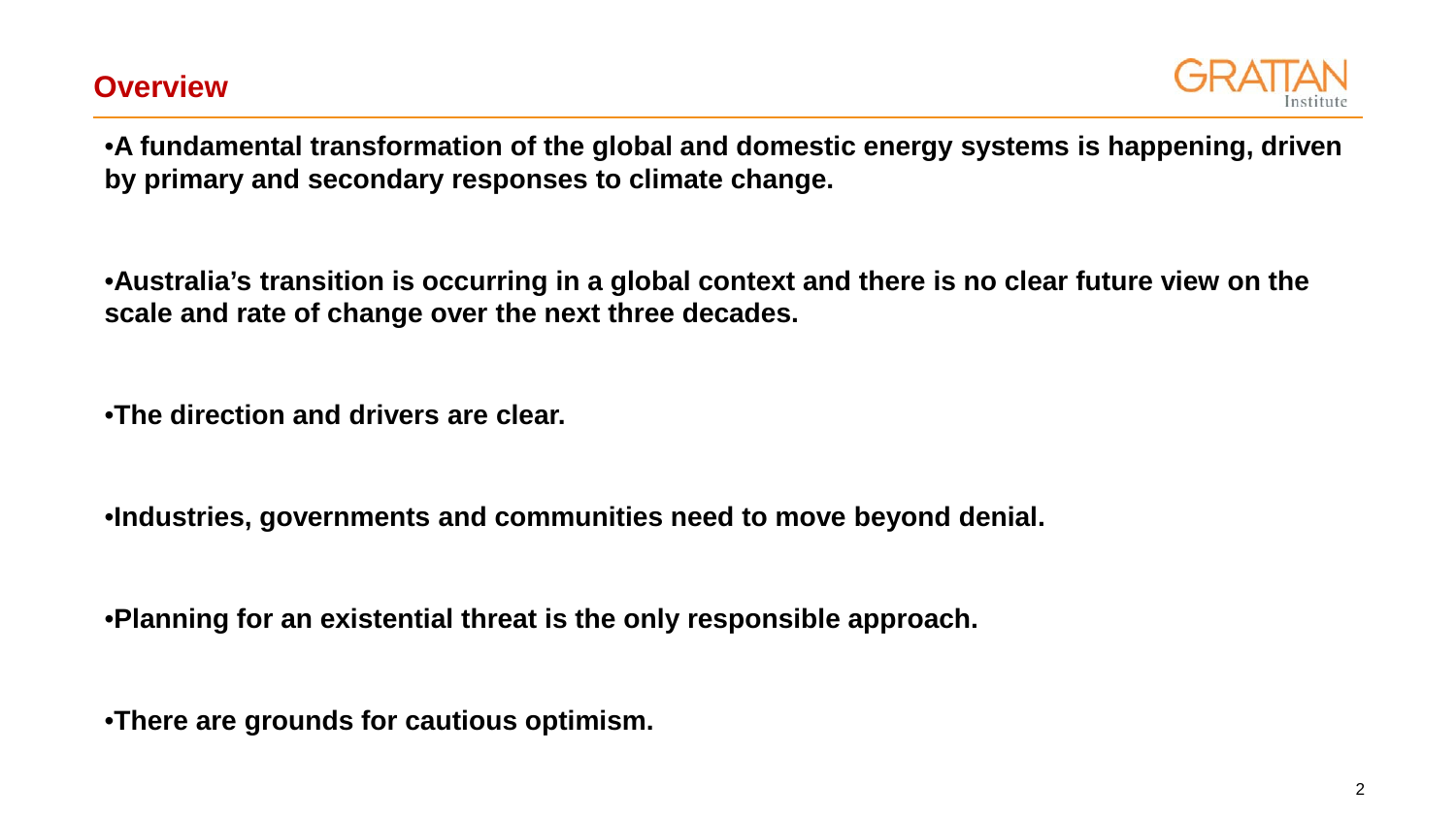

•**A fundamental transformation of the global and domestic energy systems is happening, driven by primary and secondary responses to climate change.**

•**Australia's transition is occurring in a global context and there is no clear future view on the scale and rate of change over the next three decades.**

•**The direction and drivers are clear.**

•**Industries, governments and communities need to move beyond denial.**

•**Planning for an existential threat is the only responsible approach.**

•**There are grounds for cautious optimism.**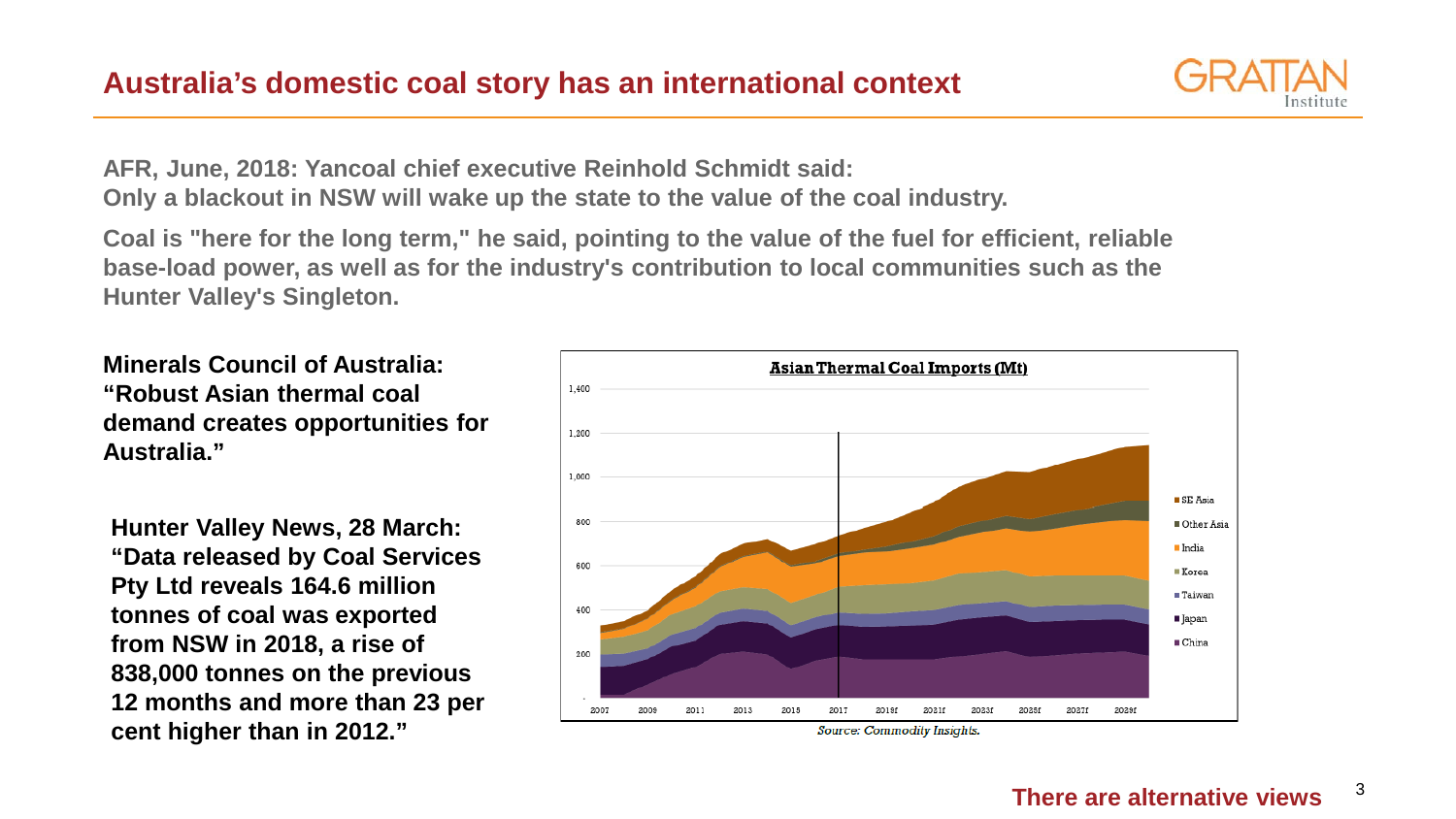

**AFR, June, 2018: Yancoal chief executive Reinhold Schmidt said: Only a blackout in NSW will wake up the state to the value of the coal industry.**

**Coal is "here for the long term," he said, pointing to the value of the fuel for efficient, reliable base-load power, as well as for the industry's contribution to local communities such as the Hunter Valley's Singleton.**

**Minerals Council of Australia: "Robust Asian thermal coal demand creates opportunities for Australia."**

**Hunter Valley News, 28 March: "Data released by Coal Services Pty Ltd reveals 164.6 million tonnes of coal was exported from NSW in 2018, a rise of 838,000 tonnes on the previous 12 months and more than 23 per cent higher than in 2012."**

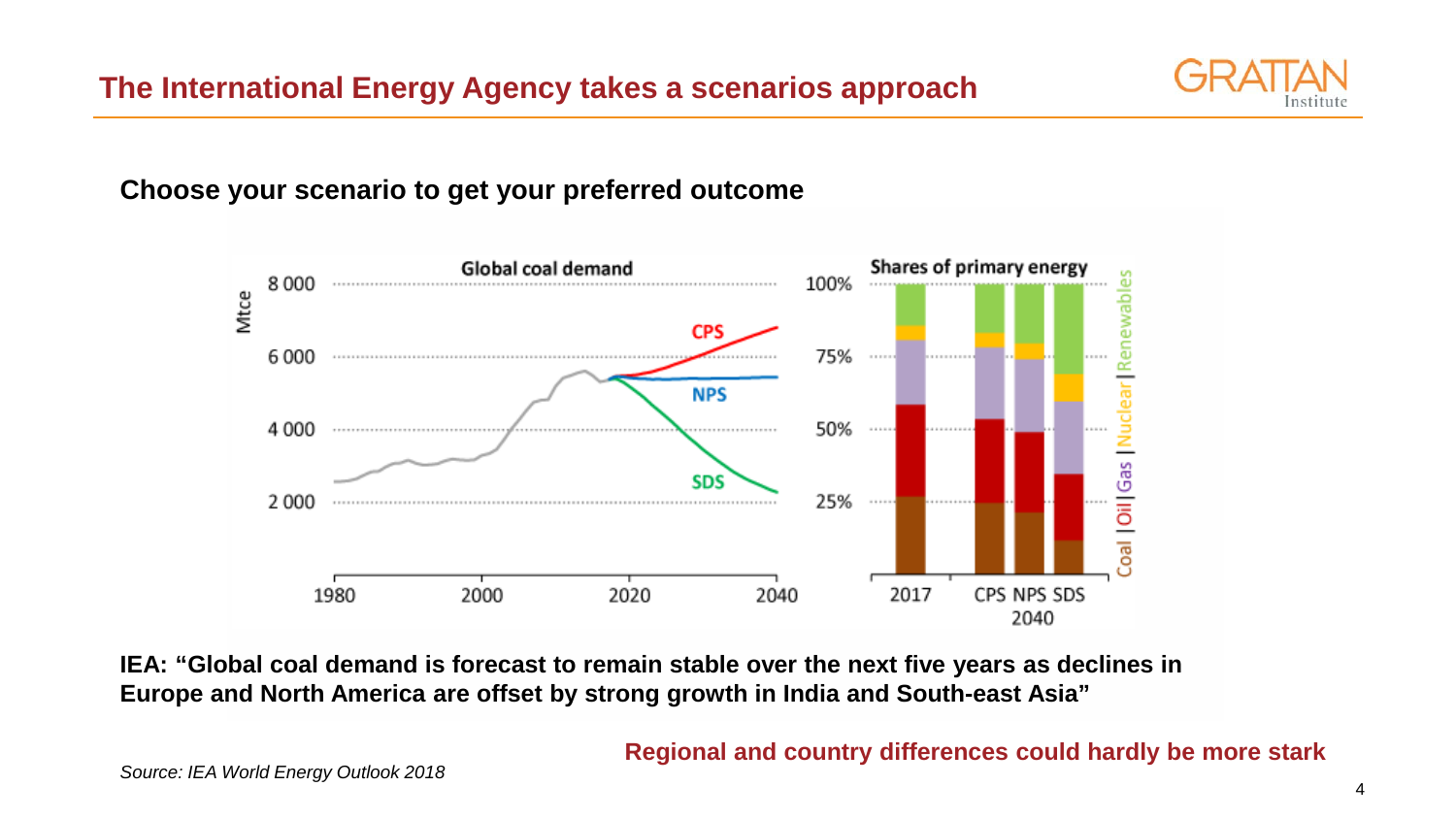

## **Choose your scenario to get your preferred outcome**



**IEA: "Global coal demand is forecast to remain stable over the next five years as declines in Europe and North America are offset by strong growth in India and South-east Asia"**

#### **Regional and country differences could hardly be more stark**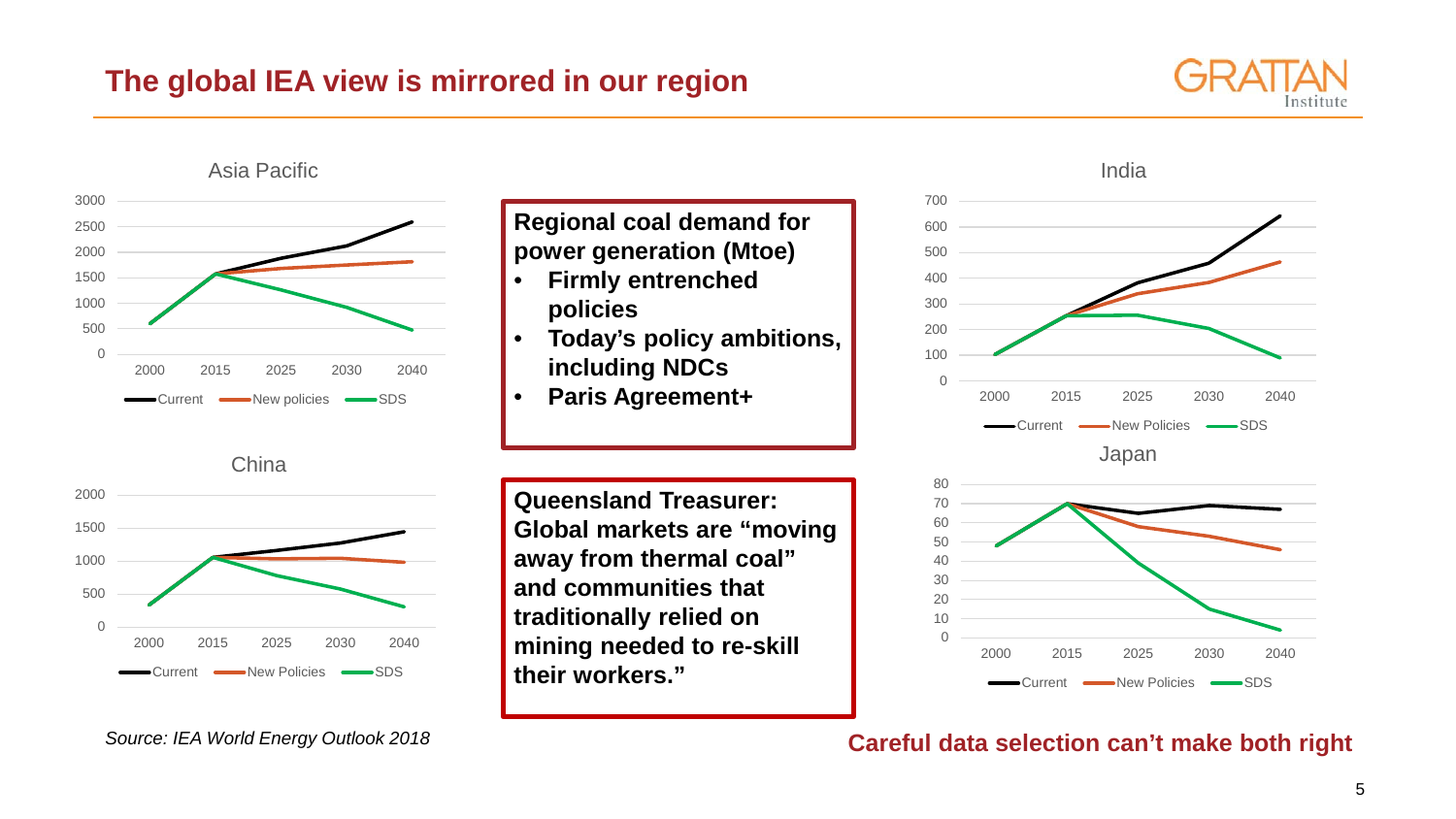## **The global IEA view is mirrored in our region**





India



**Careful data selection can't make both right**

Current **-** New Policies **-** SDS

*Source: IEA World Energy Outlook 2018*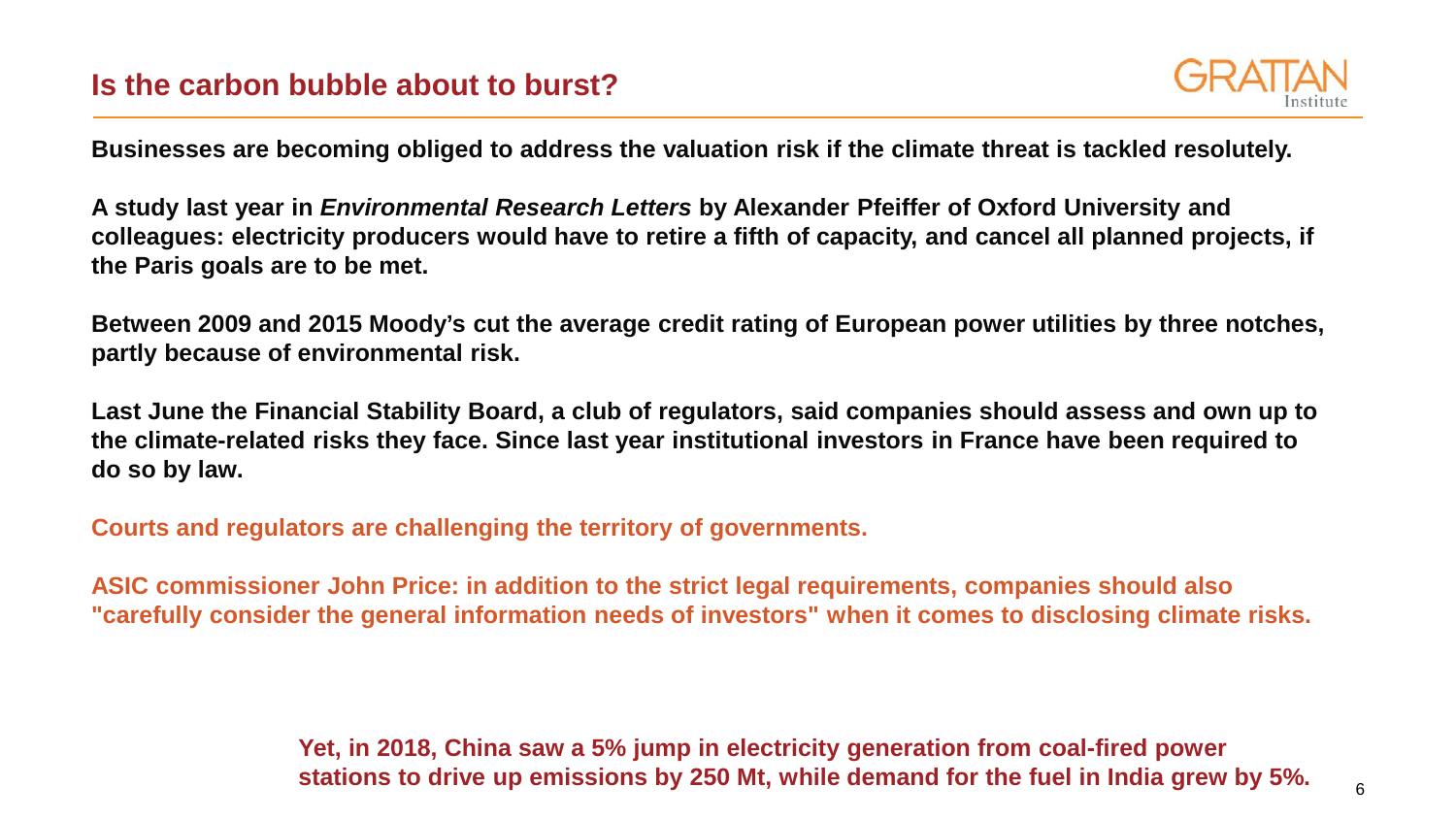

**Businesses are becoming obliged to address the valuation risk if the climate threat is tackled resolutely.**

**A study last year in** *Environmental Research Letters* **by Alexander Pfeiffer of Oxford University and colleagues: electricity producers would have to retire a fifth of capacity, and cancel all planned projects, if the Paris goals are to be met.**

**Between 2009 and 2015 Moody's cut the average credit rating of European power utilities by three notches, partly because of environmental risk.**

**Last June the Financial Stability Board, a club of regulators, said companies should assess and own up to the climate-related risks they face. Since last year institutional investors in France have been required to do so by law.**

**Courts and regulators are challenging the territory of governments.**

**ASIC commissioner John Price: in addition to the strict legal requirements, companies should also "carefully consider the general information needs of investors" when it comes to disclosing climate risks.**

> **Yet, in 2018, China saw a 5% jump in electricity generation from coal-fired power stations to drive up emissions by 250 Mt, while demand for the fuel in India grew by 5%.**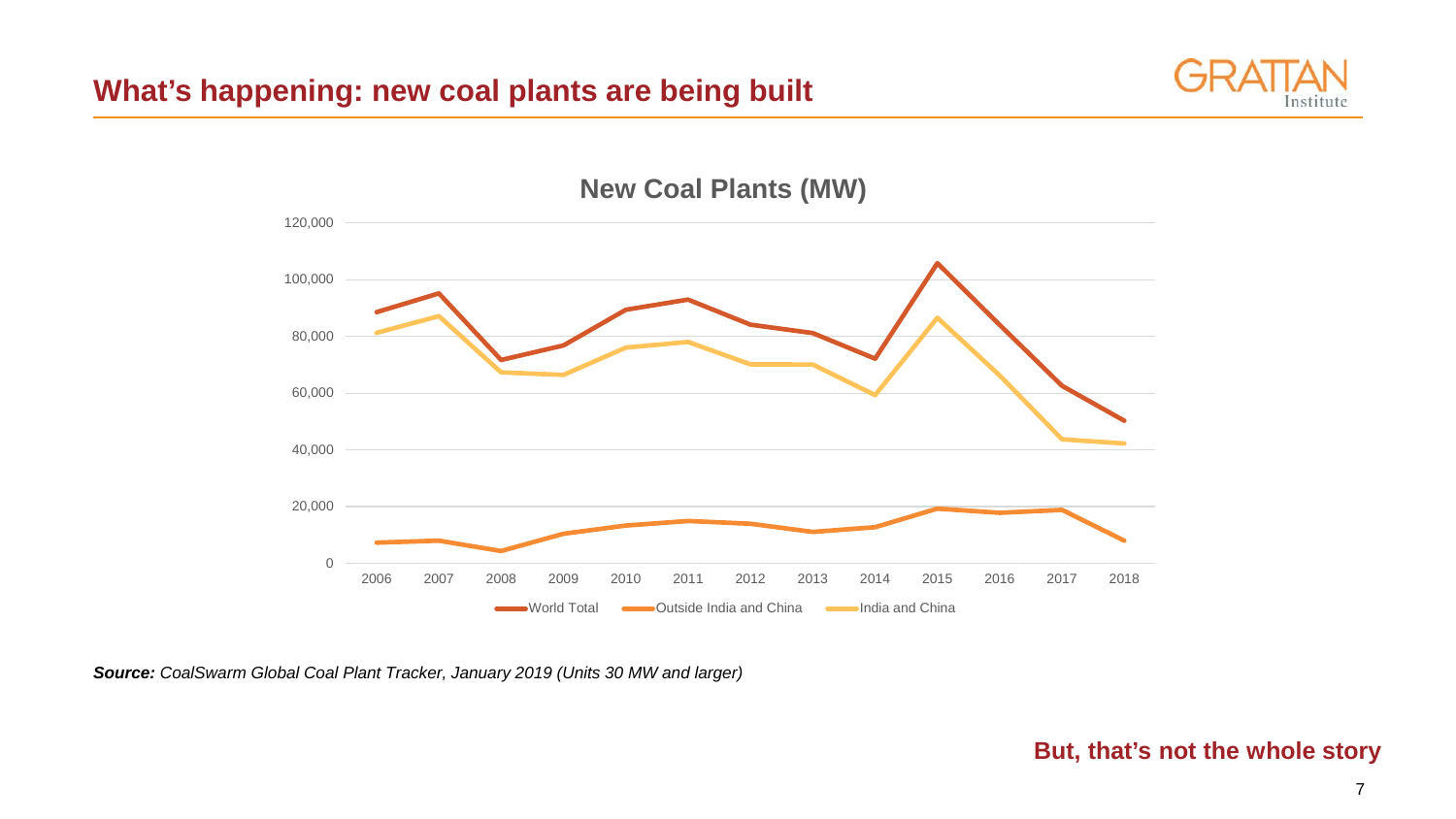



*Source: CoalSwarm Global Coal Plant Tracker, January 2019 (Units 30 MW and larger)*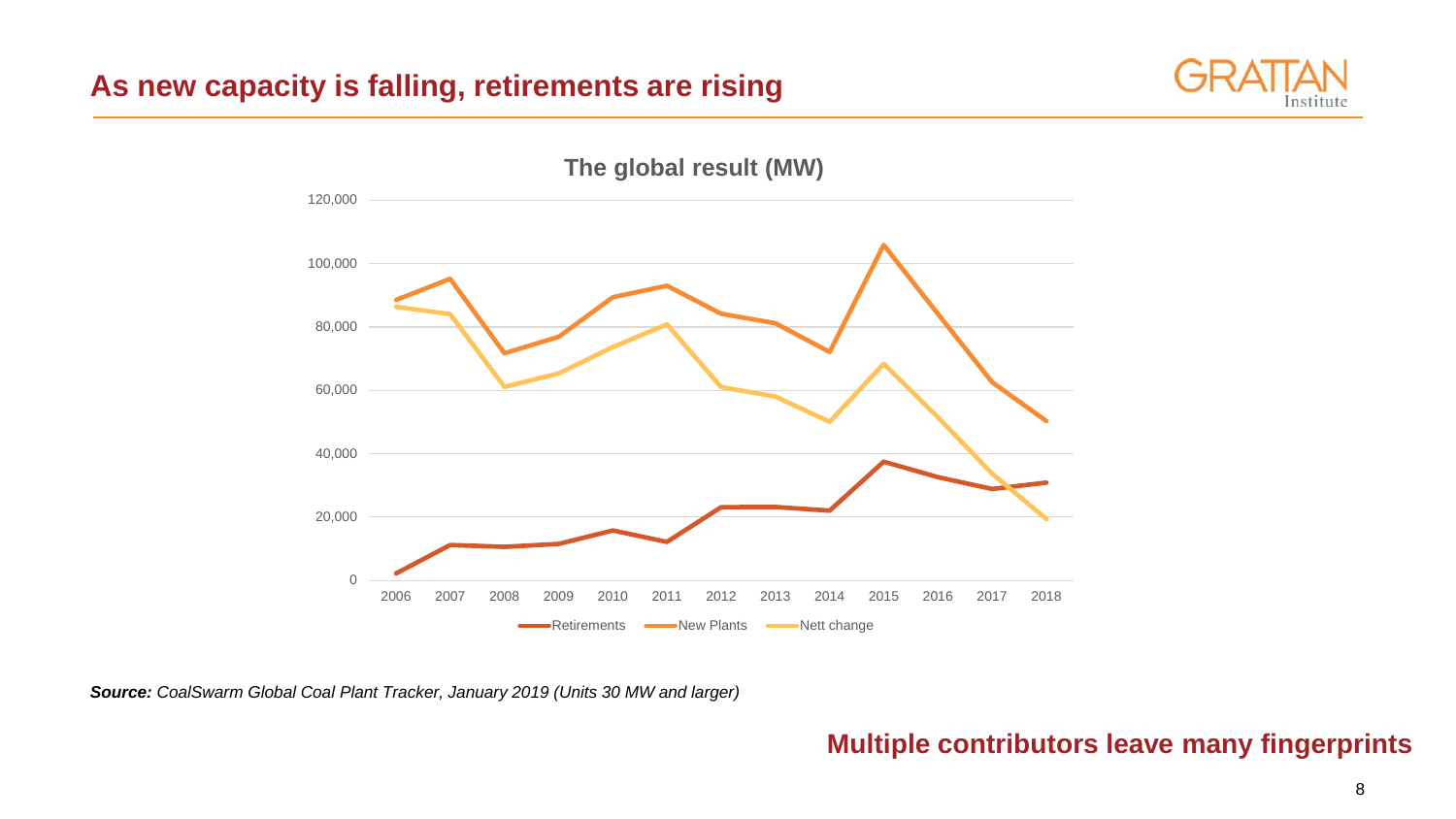## **As new capacity is falling, retirements are rising**





*Source: CoalSwarm Global Coal Plant Tracker, January 2019 (Units 30 MW and larger)*

## **Multiple contributors leave many fingerprints**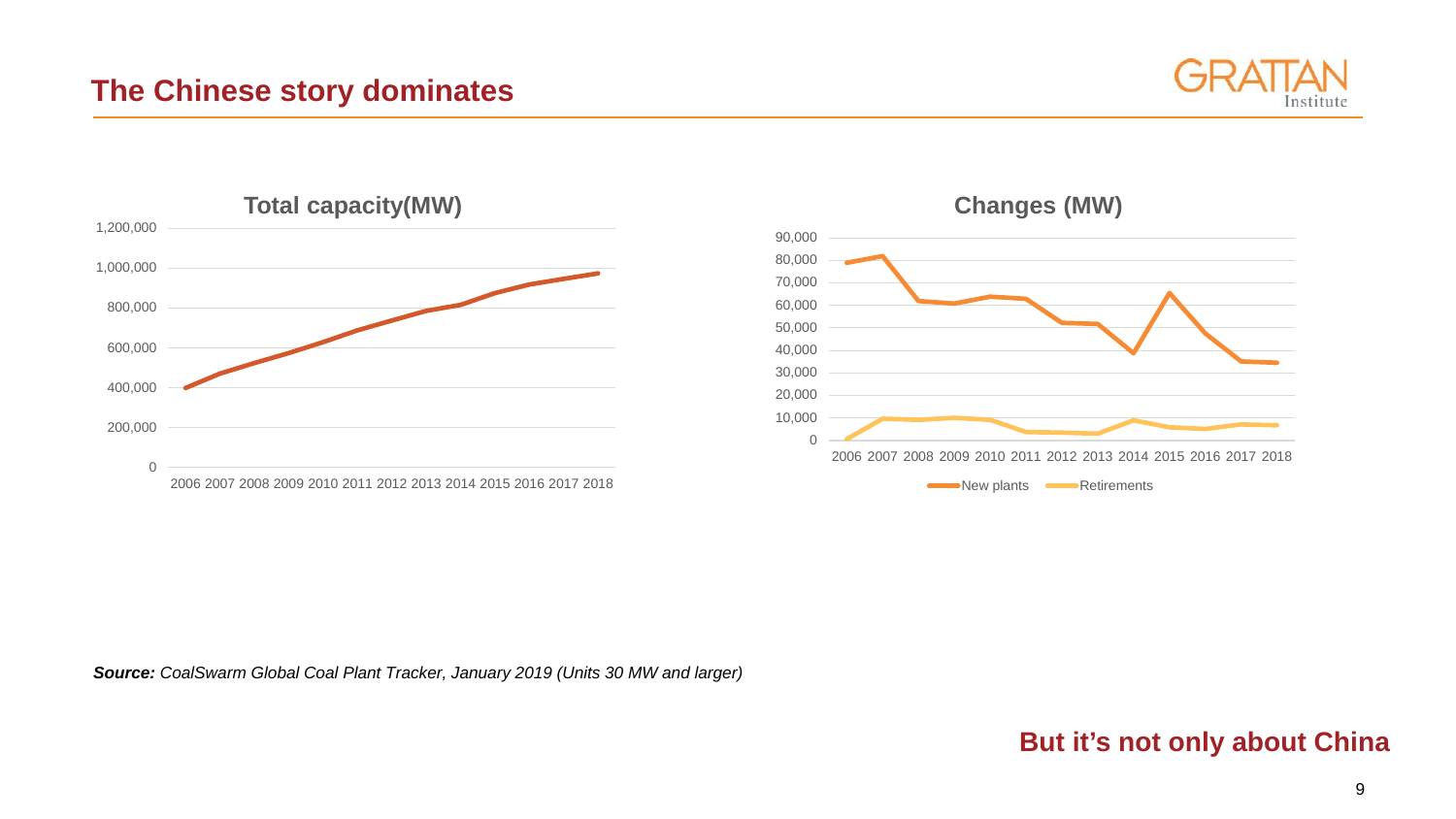





**Changes (MW)**

*Source: CoalSwarm Global Coal Plant Tracker, January 2019 (Units 30 MW and larger)*

### **But it's not only about China**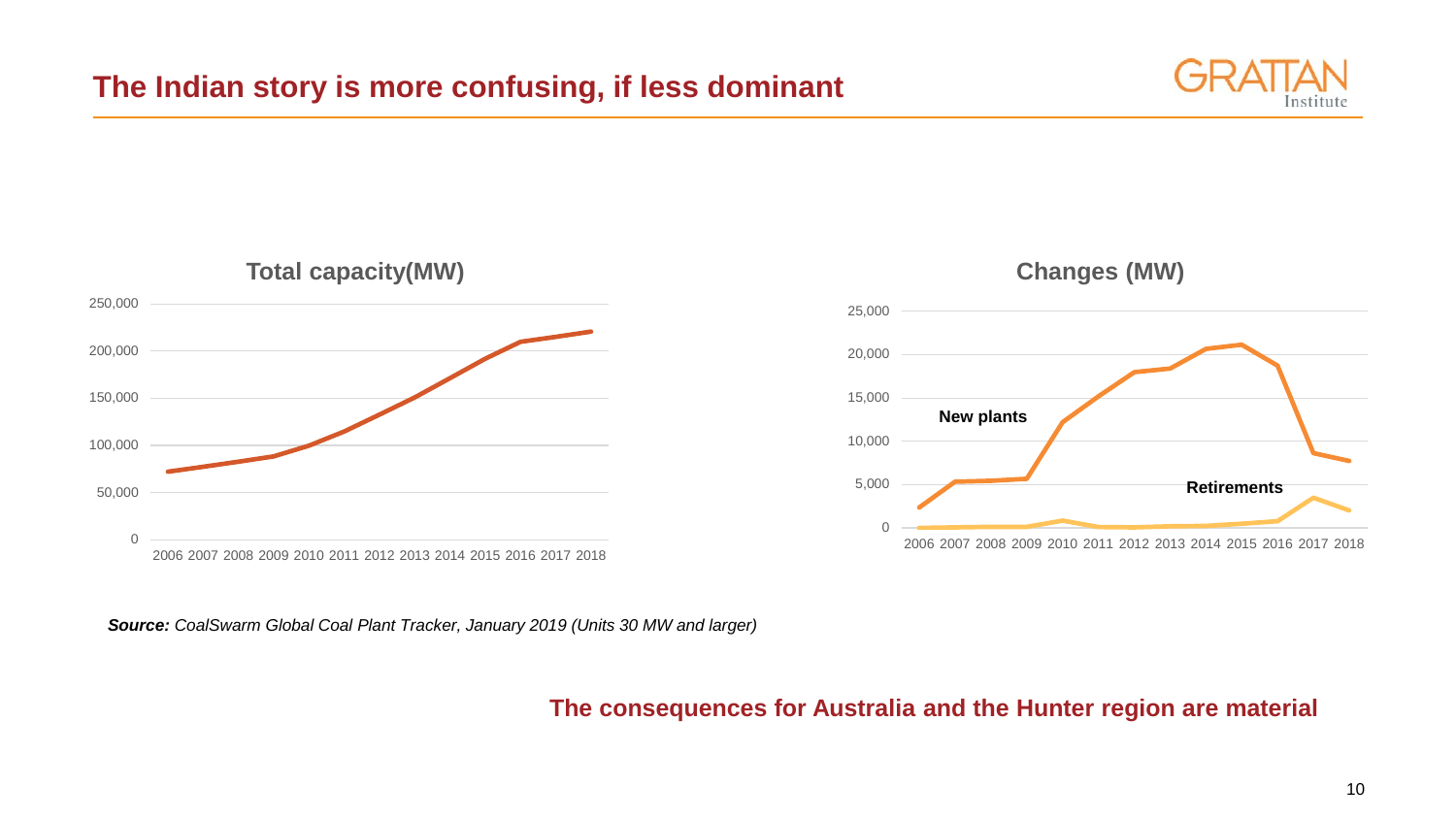## **The Indian story is more confusing, if less dominant**





*Source: CoalSwarm Global Coal Plant Tracker, January 2019 (Units 30 MW and larger)*

#### **The consequences for Australia and the Hunter region are material**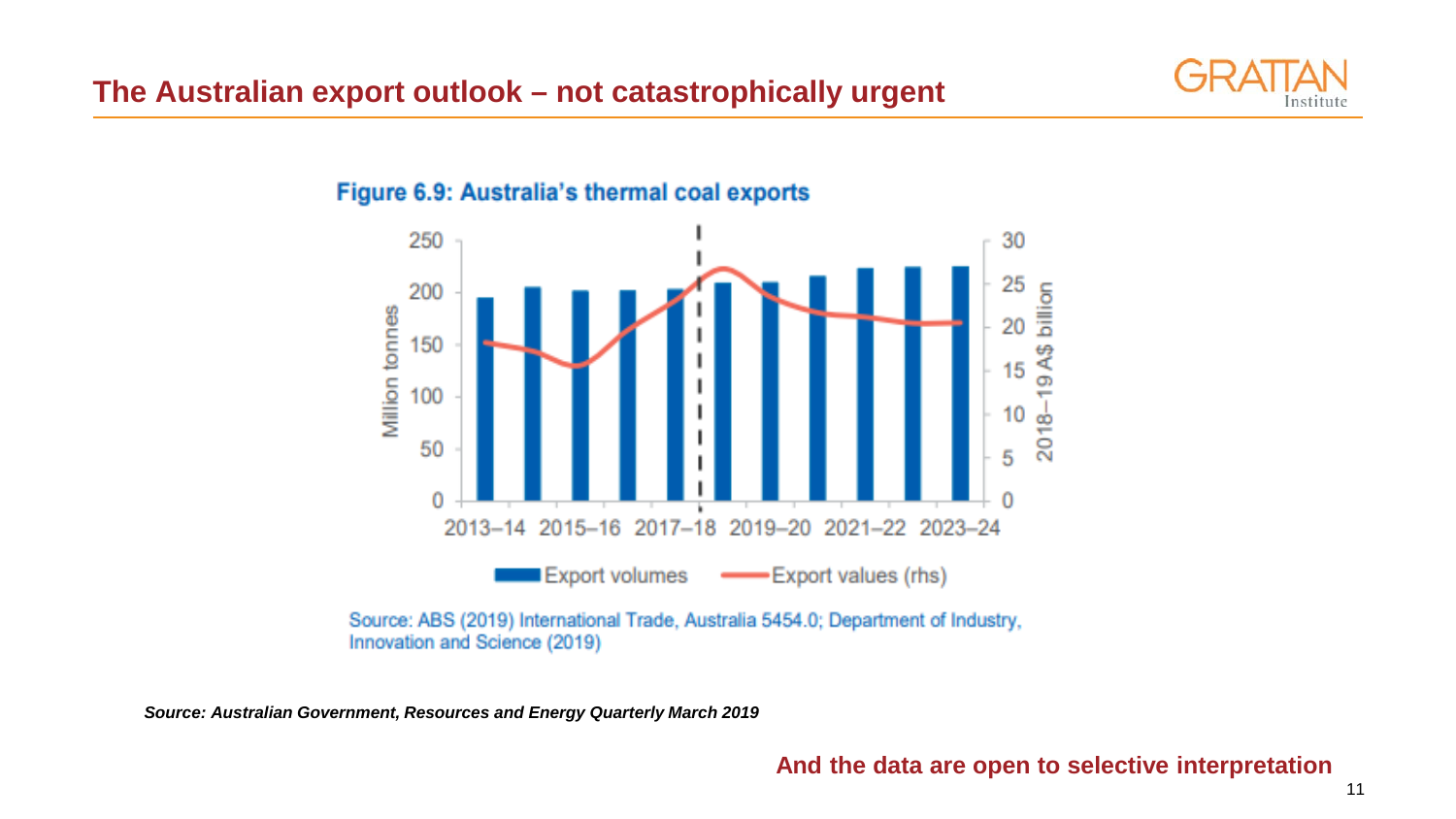

#### Figure 6.9: Australia's thermal coal exports



Source: ABS (2019) International Trade, Australia 5454.0; Department of Industry, Innovation and Science (2019)

*Source: Australian Government, Resources and Energy Quarterly March 2019*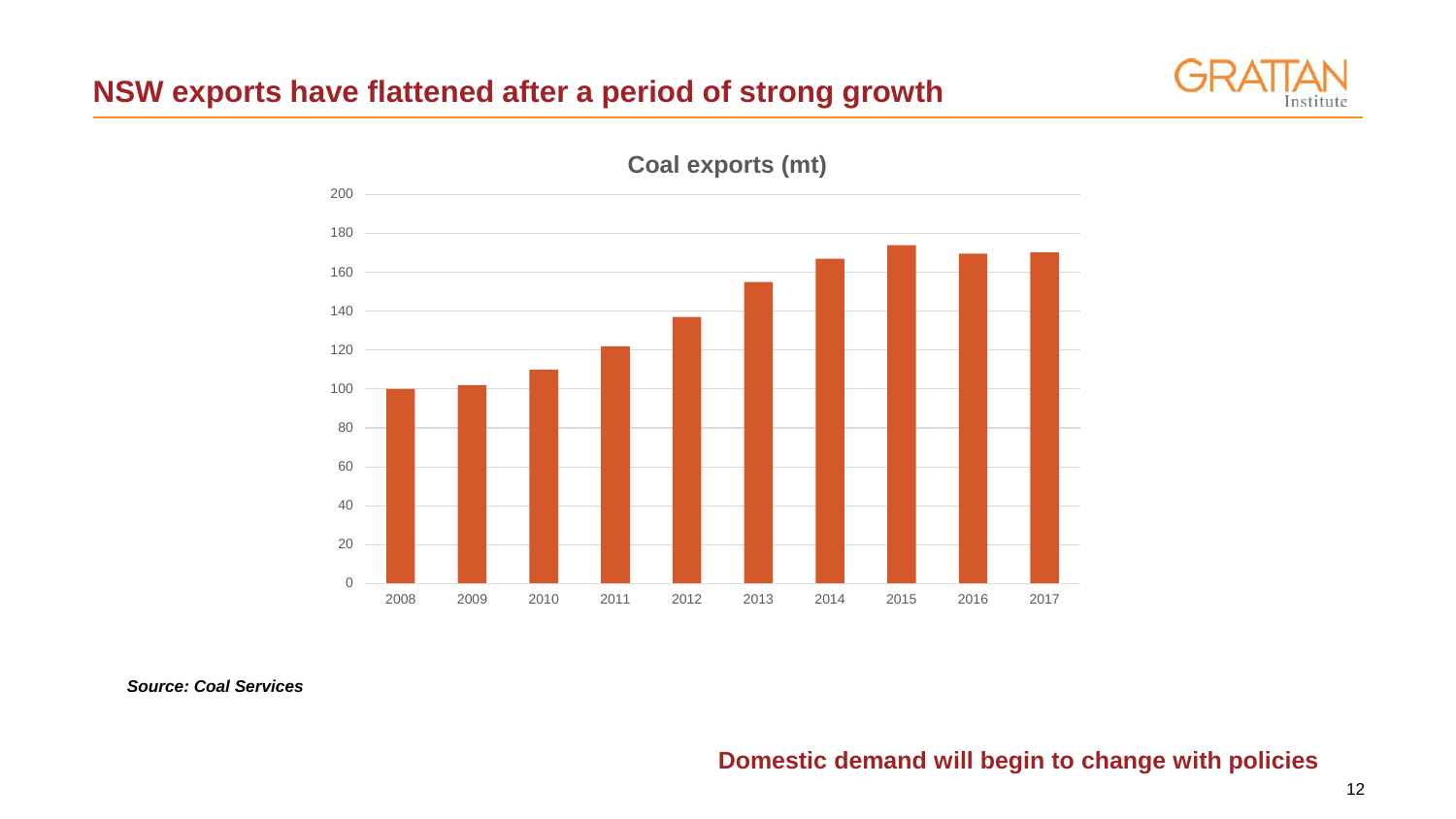## **NSW exports have flattened after a period of strong growth**





*Source: Coal Services*

#### **Domestic demand will begin to change with policies**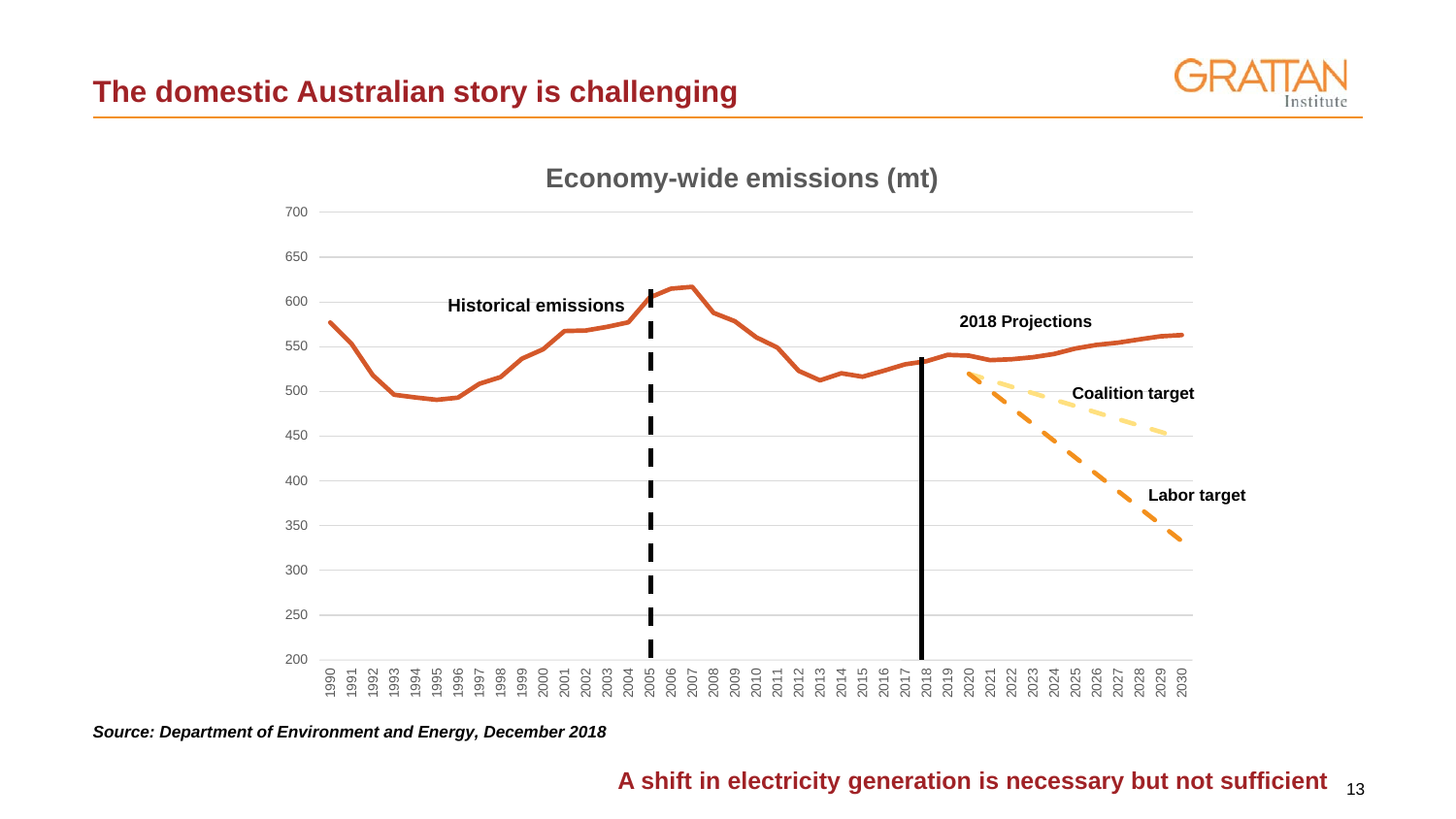## **The domestic Australian story is challenging**





*Source: Department of Environment and Energy, December 2018*

#### A shift in electricity generation is necessary but not sufficient <sub>13</sub>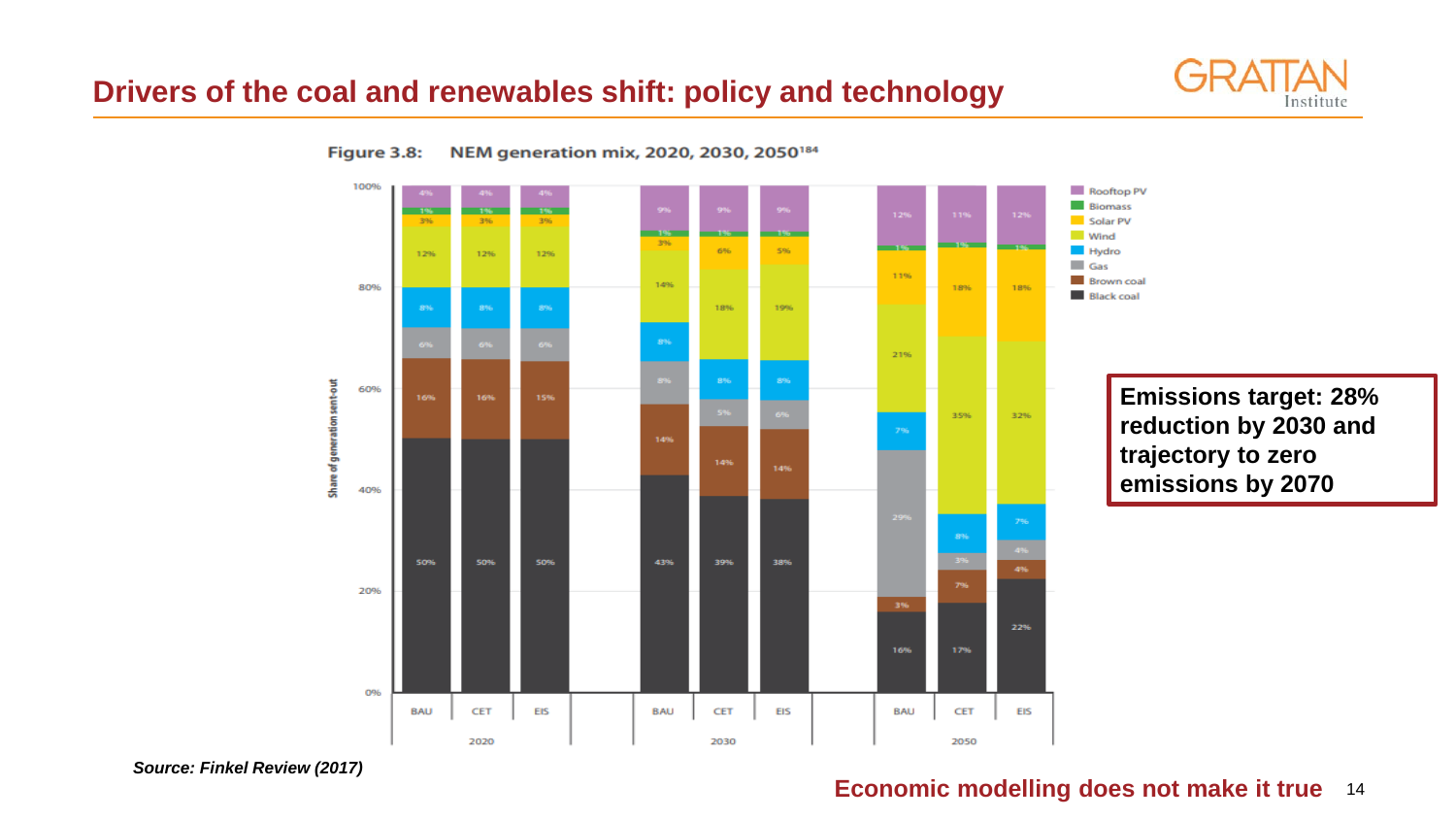## **Drivers of the coal and renewables shift: policy and technology**







#### **Economic modelling does not make it true** 14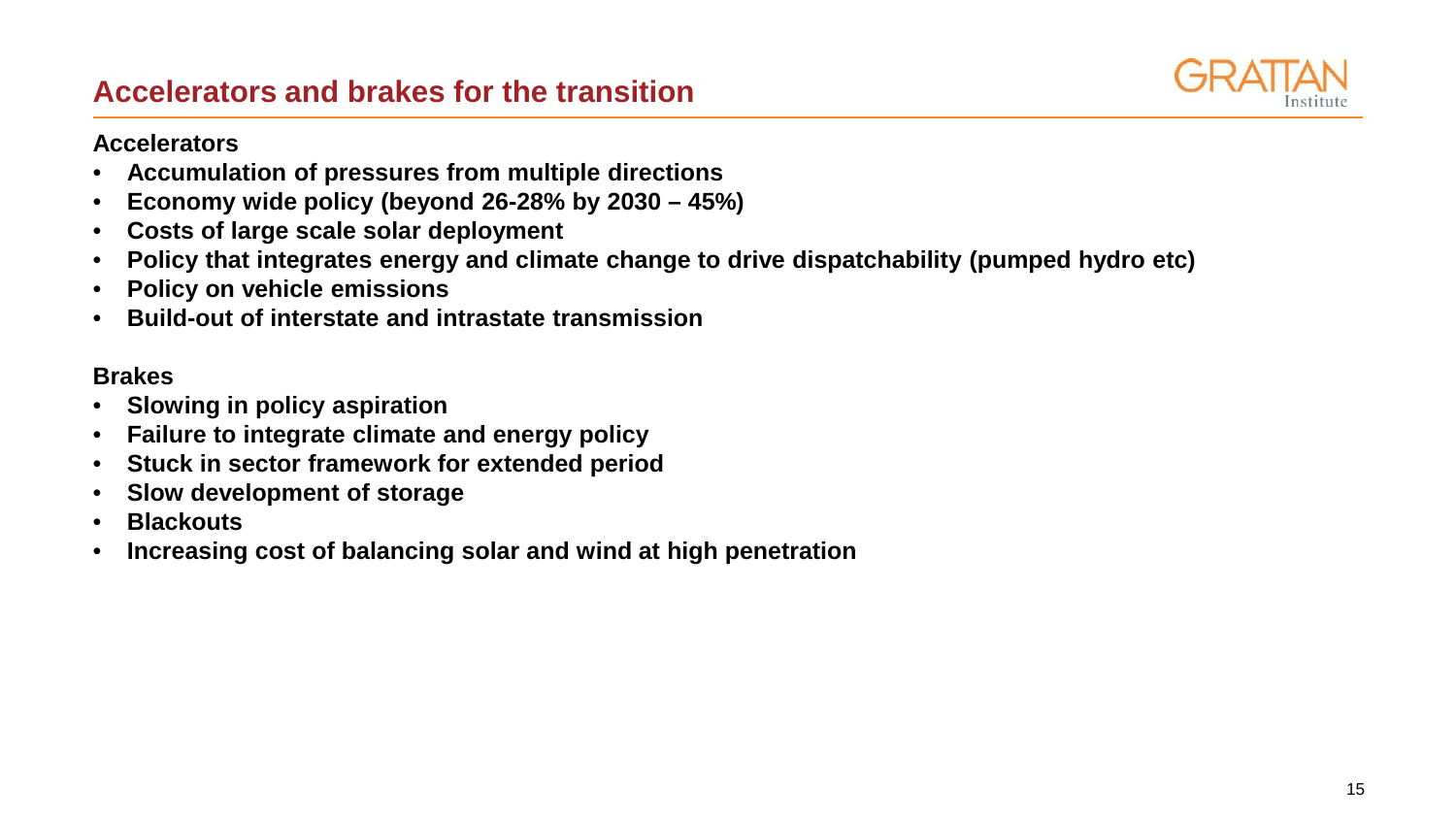## **Accelerators and brakes for the transition**



#### **Accelerators**

- **Accumulation of pressures from multiple directions**
- **Economy wide policy (beyond 26-28% by 2030 – 45%)**
- **Costs of large scale solar deployment**
- **Policy that integrates energy and climate change to drive dispatchability (pumped hydro etc)**
- **Policy on vehicle emissions**
- **Build-out of interstate and intrastate transmission**

#### **Brakes**

- **Slowing in policy aspiration**
- **Failure to integrate climate and energy policy**
- **Stuck in sector framework for extended period**
- **Slow development of storage**
- **Blackouts**
- **Increasing cost of balancing solar and wind at high penetration**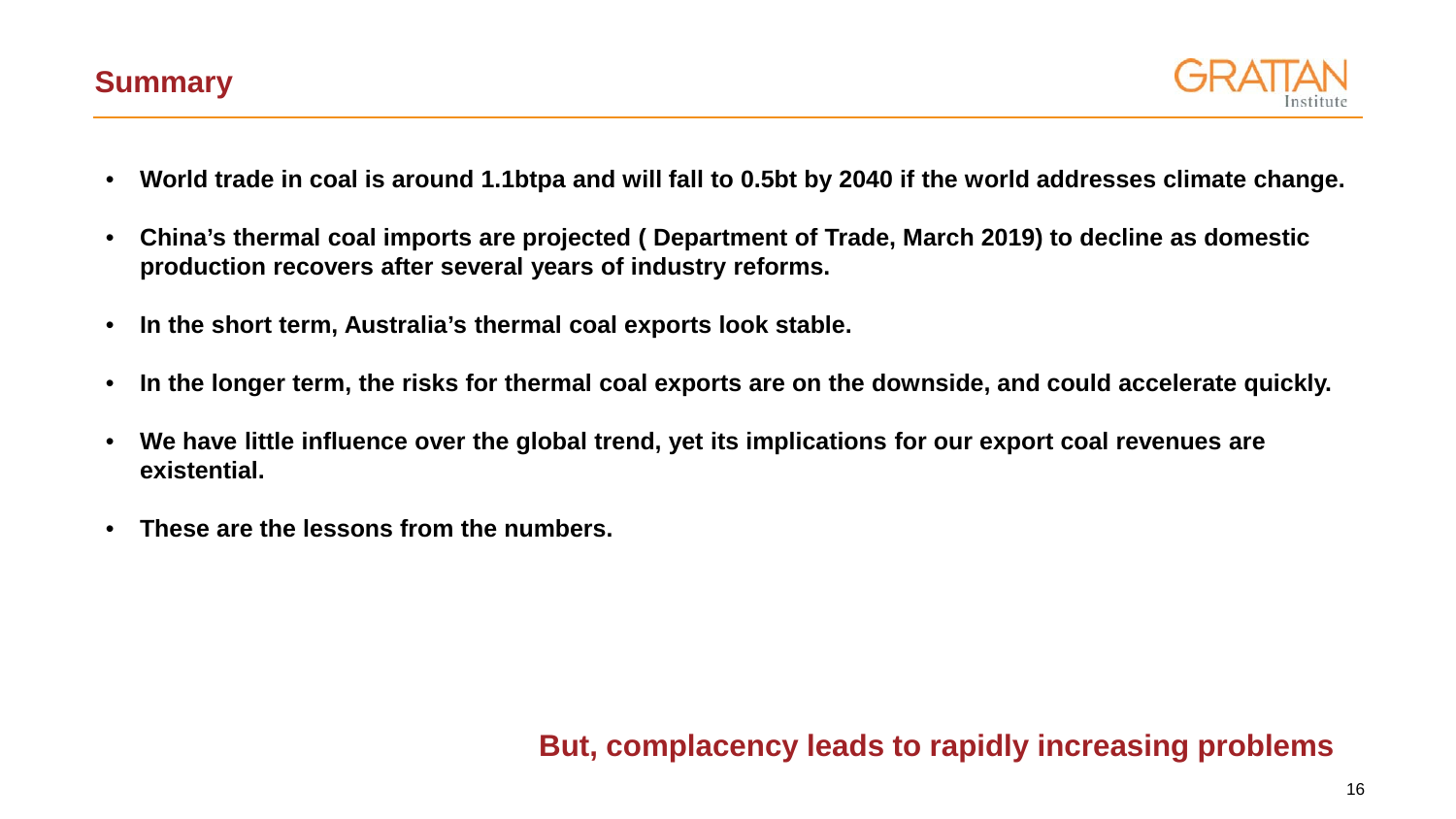

- **World trade in coal is around 1.1btpa and will fall to 0.5bt by 2040 if the world addresses climate change.**
- **China's thermal coal imports are projected ( Department of Trade, March 2019) to decline as domestic production recovers after several years of industry reforms.**
- **In the short term, Australia's thermal coal exports look stable.**
- **In the longer term, the risks for thermal coal exports are on the downside, and could accelerate quickly.**
- **We have little influence over the global trend, yet its implications for our export coal revenues are existential.**
- **These are the lessons from the numbers.**

## **But, complacency leads to rapidly increasing problems**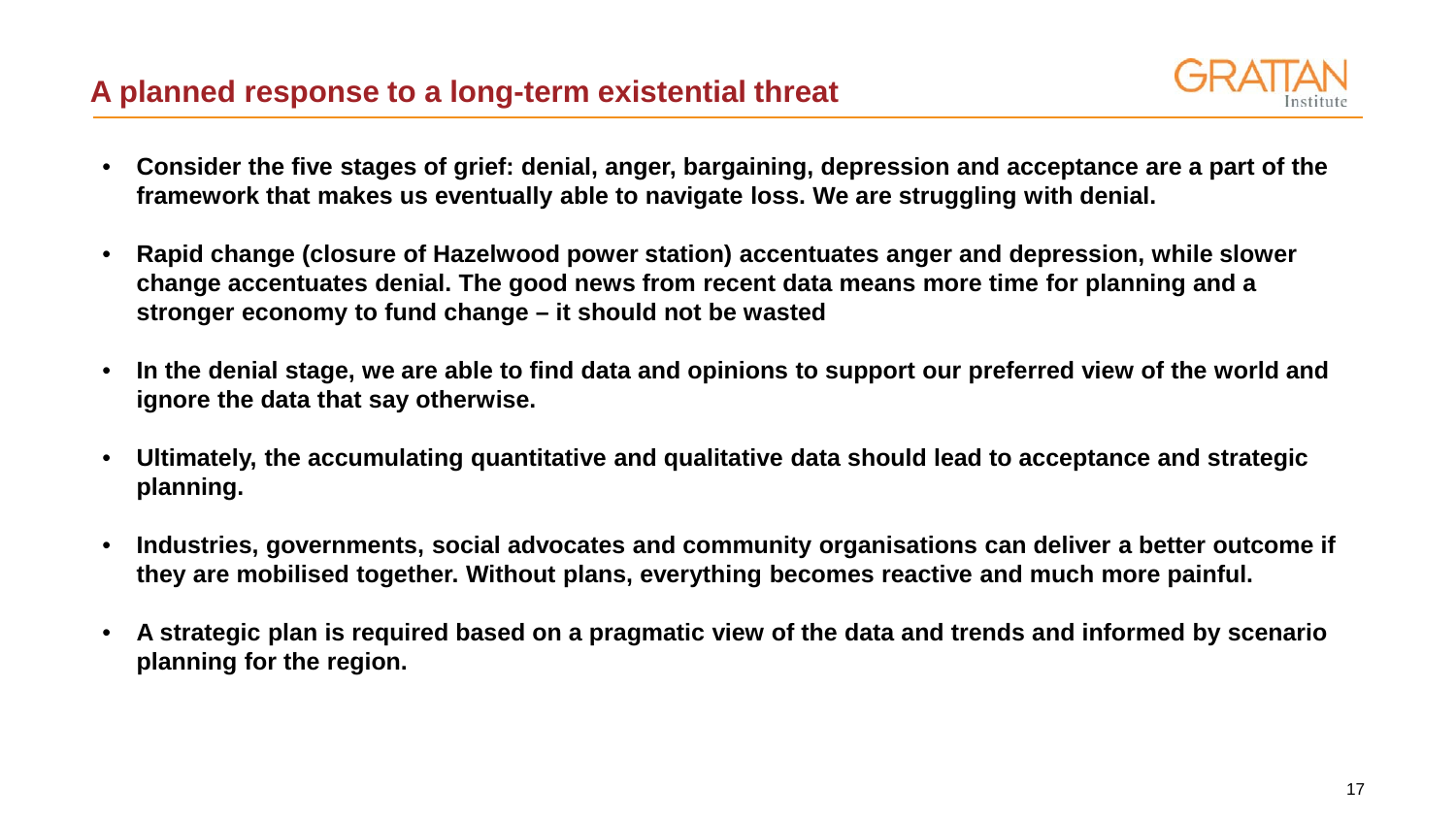

- **Consider the five stages of grief: denial, anger, bargaining, depression and acceptance are a part of the framework that makes us eventually able to navigate loss. We are struggling with denial.**
- **Rapid change (closure of Hazelwood power station) accentuates anger and depression, while slower change accentuates denial. The good news from recent data means more time for planning and a stronger economy to fund change – it should not be wasted**
- **In the denial stage, we are able to find data and opinions to support our preferred view of the world and ignore the data that say otherwise.**
- **Ultimately, the accumulating quantitative and qualitative data should lead to acceptance and strategic planning.**
- **Industries, governments, social advocates and community organisations can deliver a better outcome if they are mobilised together. Without plans, everything becomes reactive and much more painful.**
- **A strategic plan is required based on a pragmatic view of the data and trends and informed by scenario planning for the region.**